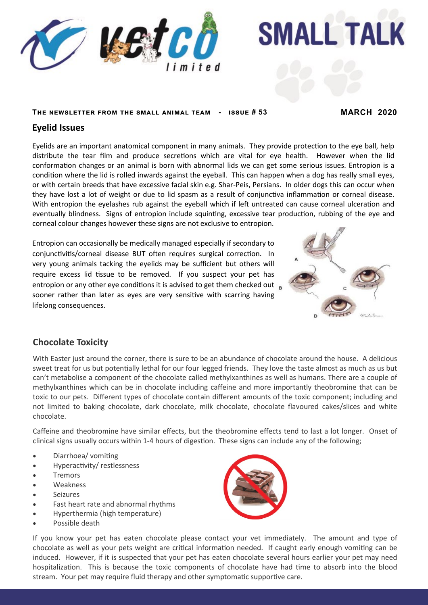

# **SMALL TALK**

#### **The newsletter from the small animal team - issue # 53 MARCH 2020**

## **Eyelid Issues**

Eyelids are an important anatomical component in many animals. They provide protection to the eye ball, help distribute the tear film and produce secretions which are vital for eye health. However when the lid conformation changes or an animal is born with abnormal lids we can get some serious issues. Entropion is a condition where the lid is rolled inwards against the eyeball. This can happen when a dog has really small eyes, or with certain breeds that have excessive facial skin e.g. Shar-Peis, Persians. In older dogs this can occur when they have lost a lot of weight or due to lid spasm as a result of conjunctiva inflammation or corneal disease. With entropion the eyelashes rub against the eyeball which if left untreated can cause corneal ulceration and eventually blindness. Signs of entropion include squinting, excessive tear production, rubbing of the eye and corneal colour changes however these signs are not exclusive to entropion.

Entropion can occasionally be medically managed especially if secondary to conjunctivitis/corneal disease BUT often requires surgical correction. In very young animals tacking the eyelids may be sufficient but others will require excess lid tissue to be removed. If you suspect your pet has entropion or any other eye conditions it is advised to get them checked out sooner rather than later as eyes are very sensitive with scarring having lifelong consequences.



## **Chocolate Toxicity**

With Easter just around the corner, there is sure to be an abundance of chocolate around the house. A delicious sweet treat for us but potentially lethal for our four legged friends. They love the taste almost as much as us but can't metabolise a component of the chocolate called methylxanthines as well as humans. There are a couple of methylxanthines which can be in chocolate including caffeine and more importantly theobromine that can be toxic to our pets. Different types of chocolate contain different amounts of the toxic component; including and not limited to baking chocolate, dark chocolate, milk chocolate, chocolate flavoured cakes/slices and white chocolate.

Caffeine and theobromine have similar effects, but the theobromine effects tend to last a lot longer. Onset of clinical signs usually occurs within 1-4 hours of digestion. These signs can include any of the following;

- Diarrhoea/ vomiting
- Hyperactivity/ restlessness
- Tremors
- Weakness
- Seizures
- Fast heart rate and abnormal rhythms
- Hyperthermia (high temperature)
- Possible death



If you know your pet has eaten chocolate please contact your vet immediately. The amount and type of chocolate as well as your pets weight are critical information needed. If caught early enough vomiting can be induced. However, if it is suspected that your pet has eaten chocolate several hours earlier your pet may need hospitalization. This is because the toxic components of chocolate have had time to absorb into the blood stream. Your pet may require fluid therapy and other symptomatic supportive care.